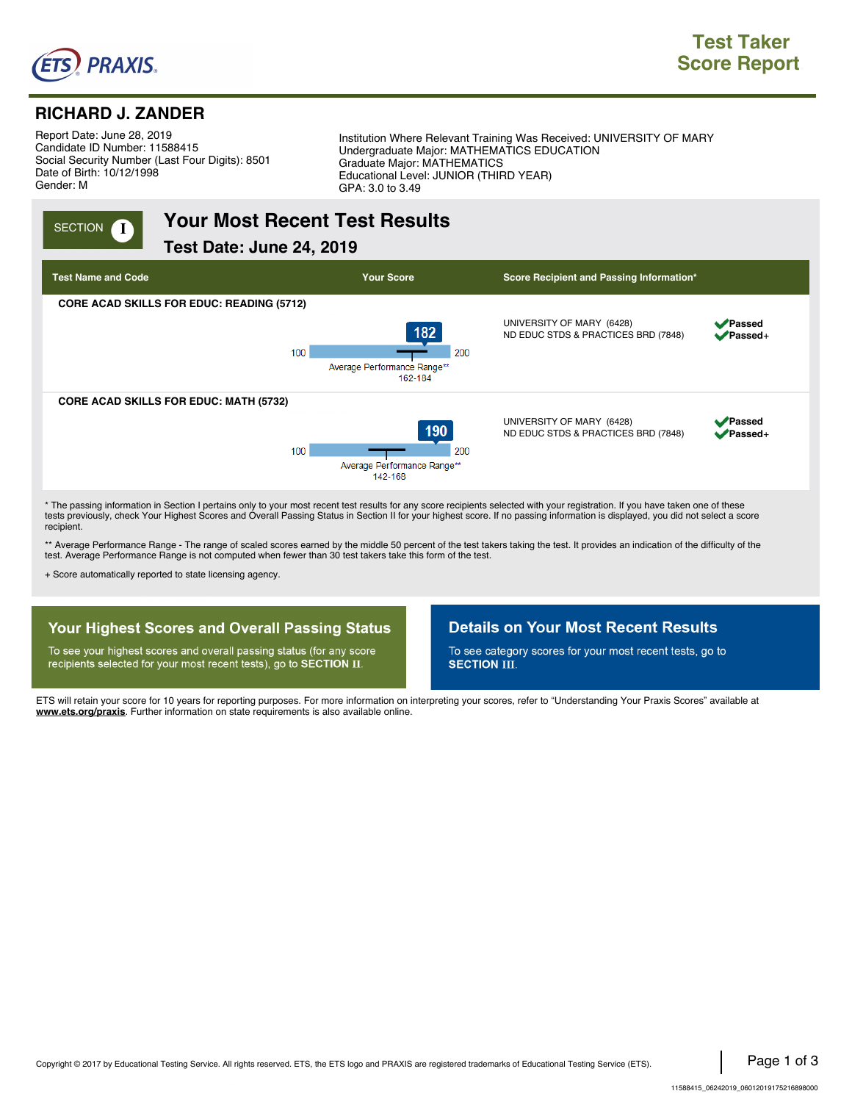

# **RICHARD J. ZANDER**

Report Date: June 28, 2019. Candidate ID Number: 11588415. Social Security Number (Last Four Digits): 8501. Date of Birth: 10/12/1998. Gender: M.

Institution Where Relevant Training Was Received: UNIVERSITY OF MARY . Undergraduate Major: MATHEMATICS EDUCATION . Graduate Major: MATHEMATICS . Educational Level: JUNIOR (THIRD YEAR) . GPA: 3.0 to 3.49

# **INGLET TO A POSE YOUR MOST RECENT TEST RESULTS**

**Test Date: June 24, 2019.,**



\* The passing information in Section I pertains only to your most recent test results for any score recipients selected with your registration. If you have taken one of these tests previously, check Your Highest Scores and Overall Passing Status in Section II for your highest score. If no passing information is displayed, you did not select a score recipient.

\*\* Average Performance Range - The range of scaled scores earned by the middle 50 percent of the test takers taking the test. It provides an indication of the difficulty of the test. Average Performance Range is not computed when fewer than 30 test takers take this form of the test.

+ Score automatically reported to state licensing agency.

## **Your Highest Scores and Overall Passing Status**

To see your highest scores and overall passing status (for any score recipients selected for your most recent tests), go to SECTION II.

#### **Details on Your Most Recent Results**

To see category scores for your most recent tests, go to **SECTION III.** 

ETS will retain your score for 10 years for reporting purposes. For more information on interpreting your scores, refer to "Understanding Your Praxis Scores" available at **www.ets.org/praxis**. Further information on state requirements is also available online.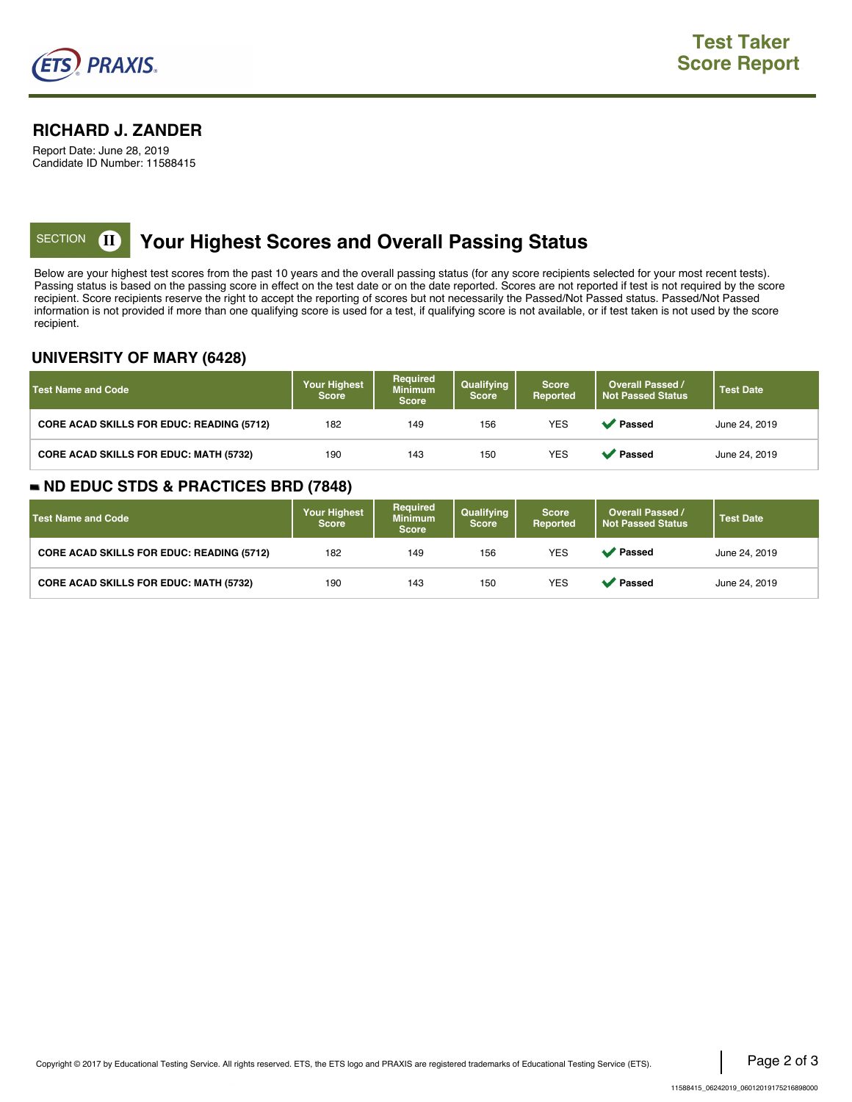

#### **RICHARD J. ZANDER**

Report Date: June 28, 2019 Candidate ID Number: 11588415

# **KECTION <b>II** Your Highest Scores and Overall Passing Status

Below are your highest test scores from the past 10 years and the overall passing status (for any score recipients selected for your most recent tests). Passing status is based on the passing score in effect on the test date or on the date reported. Scores are not reported if test is not required by the score recipient. Score recipients reserve the right to accept the reporting of scores but not necessarily the Passed/Not Passed status. Passed/Not Passed information is not provided if more than one qualifying score is used for a test, if qualifying score is not available, or if test taken is not used by the score recipient.

#### **UNIVERSITY OF MARY (6428)**

| Test Name and Code                               | <b>Your Highest</b><br><b>Score</b> | <b>Required</b><br><b>Minimum</b><br><b>Score</b> | Qualifying<br><b>Score</b> | <b>Score</b><br>Reported | <b>Overall Passed /</b><br><b>Not Passed Status</b> | <b>Test Date</b> |
|--------------------------------------------------|-------------------------------------|---------------------------------------------------|----------------------------|--------------------------|-----------------------------------------------------|------------------|
| <b>CORE ACAD SKILLS FOR EDUC: READING (5712)</b> | 182                                 | 149                                               | 156                        | <b>YES</b>               | ' Passed                                            | June 24, 2019    |
| <b>CORE ACAD SKILLS FOR EDUC: MATH (5732)</b>    | 190                                 | 143                                               | 150                        | <b>YES</b>               | <b>Passed</b>                                       | June 24, 2019    |

#### **ND EDUC STDS & PRACTICES BRD (7848)**

| Test Name and Code                               | <b>Your Highest</b><br><b>Score</b> | <b>Required</b><br><b>Minimum</b><br><b>Score</b> | Qualifying<br><b>Score</b> | <b>Score</b><br>Reported | <b>Overall Passed /</b><br><b>Not Passed Status</b> | <b>Test Date</b> |
|--------------------------------------------------|-------------------------------------|---------------------------------------------------|----------------------------|--------------------------|-----------------------------------------------------|------------------|
| <b>CORE ACAD SKILLS FOR EDUC: READING (5712)</b> | 182                                 | 149                                               | 156                        | <b>YES</b>               | <b>◆</b> Passed                                     | June 24, 2019    |
| <b>CORE ACAD SKILLS FOR EDUC: MATH (5732)</b>    | 190                                 | 143                                               | 150                        | <b>YES</b>               | Passed                                              | June 24, 2019    |